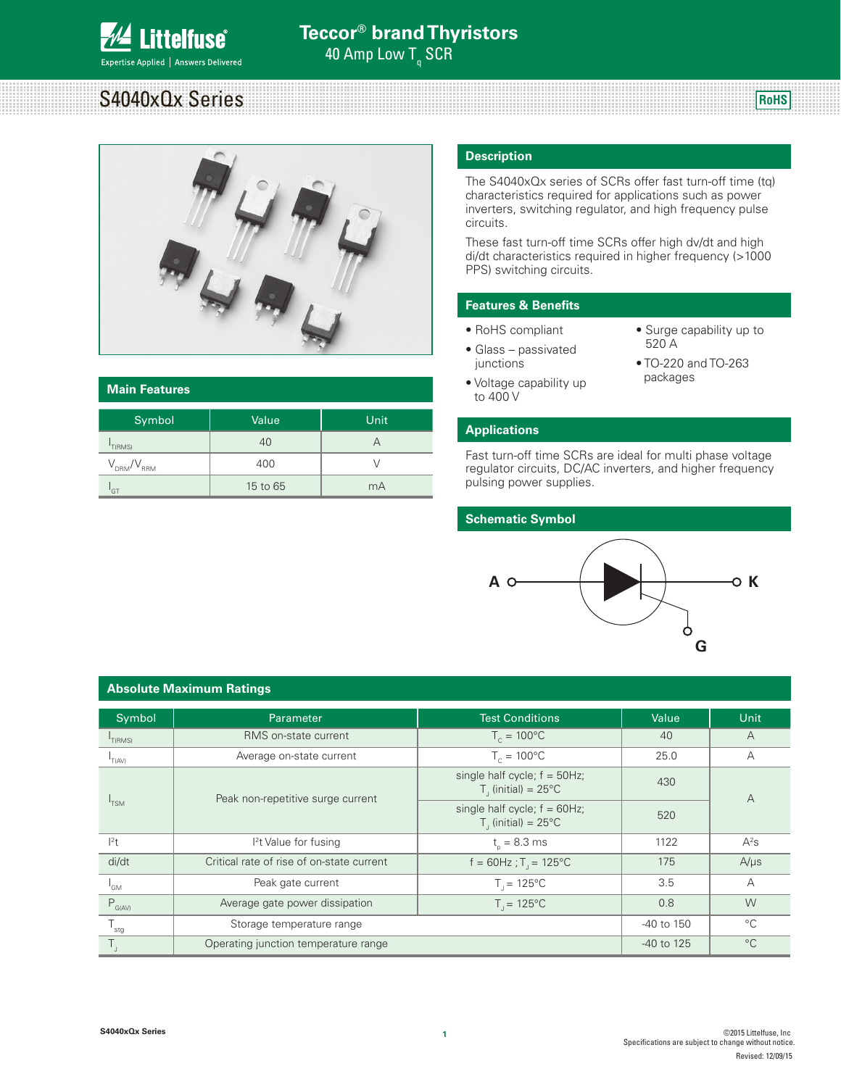

# S4040xQx Series

**RoHS**



| <b>Main Features</b> |          |      |  |  |  |  |
|----------------------|----------|------|--|--|--|--|
| Symbol               | Value    | Unit |  |  |  |  |
| 'T(RMS)              | 40       | А    |  |  |  |  |
| $V_{DRM}/V_{RRM}$    | 400      |      |  |  |  |  |
| GT                   | 15 to 65 | mA   |  |  |  |  |

### **Description**

The S4040xQx series of SCRs offer fast turn-off time (tq) characteristics required for applications such as power inverters, switching regulator, and high frequency pulse circuits.

These fast turn-off time SCRs offer high dv/dt and high di/dt characteristics required in higher frequency (>1000 PPS) switching circuits.

# **Features & Benefits**

- RoHS compliant
- Glass passivated junctions
- 520 A • TO-220 and TO-263

• Surge capability up to

• Voltage capability up to 400 V

packages

### **Applications**

Fast turn-off time SCRs are ideal for multi phase voltage regulator circuits, DC/AC inverters, and higher frequency pulsing power supplies.

#### **Schematic Symbol**



#### Symbol | Parameter Parameter | Test Conditions | Value | Unit  $I_{T(RMS)}$ RMS on-state current  $T_c = 100^{\circ}$ C 40 A  $I_{T(AV)}$ Average on-state current  $T_c = 100\degree\text{C}$  25.0 A  $I_{TSM}$ Peak non-repetitive surge current single half cycle;  $f = 50$ Hz;  $T_{\rm J}$  (initial) = 25°C 430 A single half cycle;  $f = 60$ Hz;  $T_{\rm J}$  (initial) = 25°C 520 I 2 t I <sup>2</sup>t Value for fusing the set of  $t_{\sf p}$  $t<sub>0</sub> = 8.3 \text{ ms}$  1122  $A^2s$ di/dt critical rate of rise of on-state current f = 60Hz;  $T_1 = 125^{\circ}$ C 175 A/μs  $\mathsf{I}_{\mathsf{GM}}$ Peak gate current  $T_1 = 125^{\circ}$ C 3.5 A  $P_{G(AVA)}$  Average gate power dissipation  $T_{J} = 125^{\circ}$  0.8 W T<sub>the</sub> Storage temperature range Constant Constant Constant Constant Constant Constant Constant Constant Constant Constant Constant Constant Constant Constant Constant Constant Constant Constant Constant Constant Constant T<sub>J</sub> Cherating junction temperature range -40 to 125  $\sim$  C

#### **Absolute Maximum Ratings**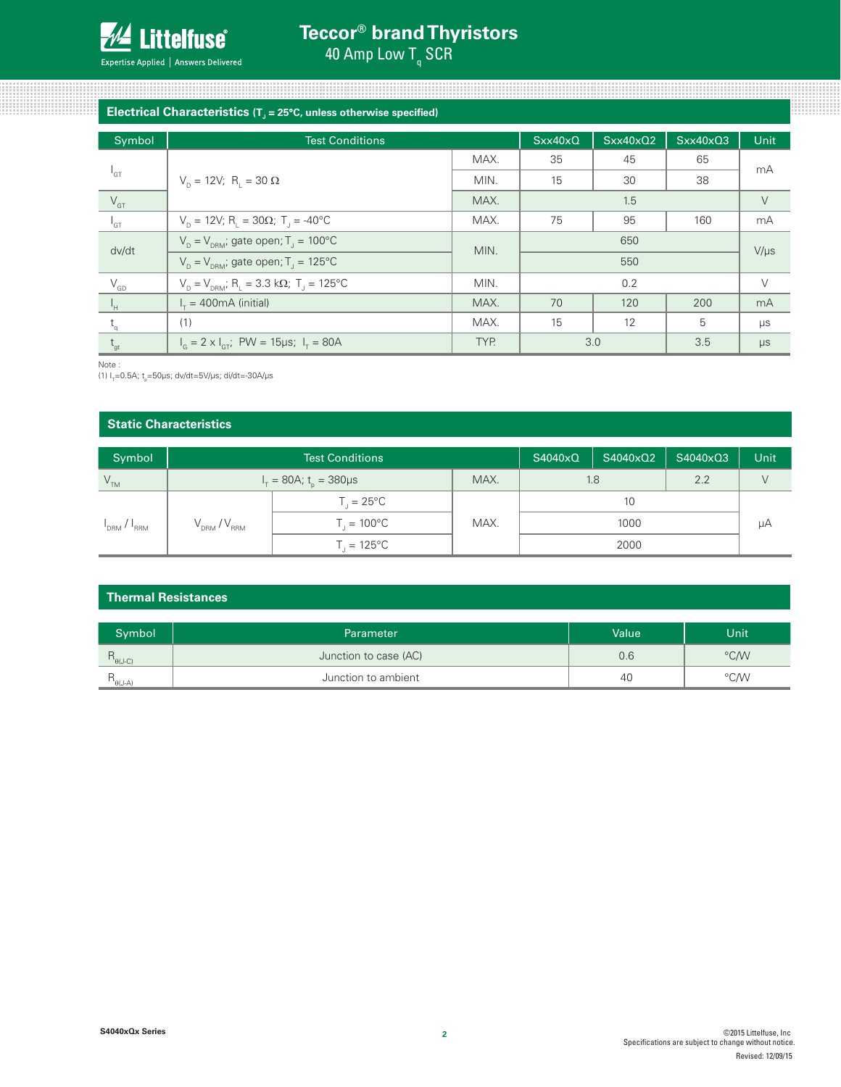

# **Electrical Characteristics (** $T<sub>J</sub>$  **= 25°C, unless otherwise specified) Electrical Characteristics** (T<sub>J</sub> = 25°C, unless otherwise specified)

| Symbol                     | <b>Test Conditions</b>                                                                     |      | Sxx40xQ | Sxx40x02 | Sxx40xQ3 | <b>Unit</b> |
|----------------------------|--------------------------------------------------------------------------------------------|------|---------|----------|----------|-------------|
|                            |                                                                                            | MAX. | 35      | 45       | 65       |             |
| $1_{GT}$                   | $V_p = 12V$ ; R <sub>1</sub> = 30 Ω                                                        | MIN. | 15      | 30       | 38       | mA          |
| $V_{\text{GT}}$            |                                                                                            | MAX. | 1.5     |          | $\vee$   |             |
| $\mathsf{I}_{\mathsf{GT}}$ | $V_p = 12V$ ; R <sub>1</sub> = 30Ω; T <sub>1</sub> = -40°C                                 | MAX. | 75      | 95       | 160      | mA          |
| dv/dt                      | $V_p = V_{pRM}$ ; gate open; T <sub>J</sub> = 100°C                                        | MIN. |         | 650      |          | $V/\mu s$   |
|                            | $V_p = V_{pRM}$ ; gate open; T <sub>1</sub> = 125°C                                        |      |         | 550      |          |             |
| $\rm V_{GD}$               | $V_{\text{D}} = V_{\text{DRM}}$ ; R <sub>L</sub> = 3.3 k $\Omega$ ; T <sub>J</sub> = 125°C | MIN. |         | 0.2      |          | $\vee$      |
| ŀн                         | $I_r = 400 \text{mA}$ (initial)                                                            | MAX. | 70      | 120      | 200      | mA          |
| $t_{\alpha}$               | (1)                                                                                        | MAX. | 15      | 12       | 5        | $\mu s$     |
| $t_{gt}$                   | $I_c = 2 \times I_{cr}$ ; PW = 15µs; $I_r = 80$ A                                          | TYP. | 3.0     |          | 3.5      | $\mu s$     |

Note :

(1) l<sub>r</sub>=0.5A; t<sub>p</sub>=50µs; dv/dt=5V/µs; di/dt=-30A/µs

### **Static Characteristics**

| Symbol                                                                                   | <b>Test Conditions</b>                         |                        |            | S4040xQ | S4040xQ2 | S4040xQ3 | Unit |
|------------------------------------------------------------------------------------------|------------------------------------------------|------------------------|------------|---------|----------|----------|------|
| V <sub>TM</sub>                                                                          | MAX.<br>$I_{T} = 80A$ ; t <sub>n</sub> = 380µs |                        | 2.2<br>1.8 |         |          |          |      |
| $V_{DRM}^{\prime}/V_{RRM}^{\prime}$<br><b>I</b> <sub>DRM</sub> / <b>I</b> <sub>RRM</sub> |                                                | $T_{1} = 25^{\circ}C$  |            |         | 10       |          |      |
|                                                                                          |                                                | $T_{1} = 100^{\circ}C$ | MAX.       | 1000    |          | μA       |      |
|                                                                                          | $T_{\text{I}} = 125^{\circ}C$                  |                        |            |         | 2000     |          |      |

### **Thermal Resistances**

| Symbol                                                                  | Parameter             | Value | Unit |
|-------------------------------------------------------------------------|-----------------------|-------|------|
| $\left( \begin{array}{c} 1 & \theta \\ \theta & -C \end{array} \right)$ | Junction to case (AC) | 0.6   | °C/W |
| $^1\theta$ (J-A)                                                        | Junction to ambient   | 40    | °CM  |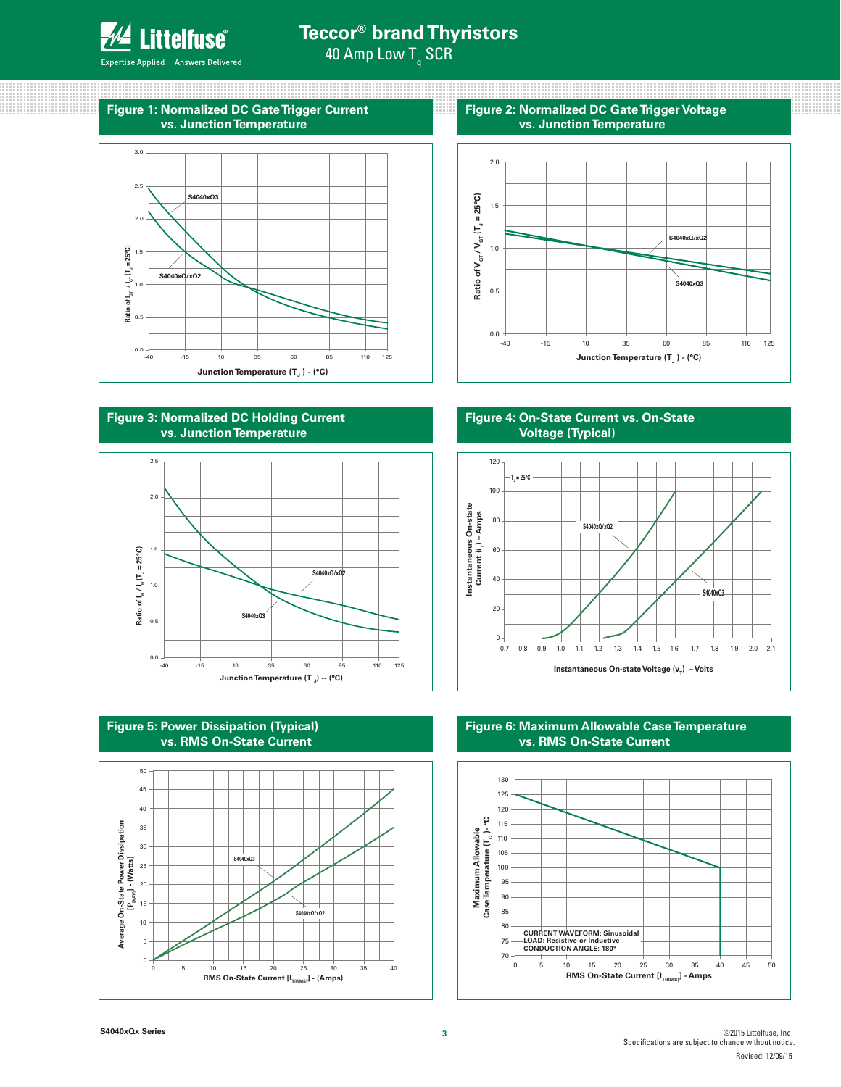

88888888888888888

# **Teccor® brand Thyristors** 40 Amp Low T<sub>q</sub> SCR

88

Expertise Applied | Answers Delivered

# **Figure 1: Normalized DC Gate Trigger Current vs. Junction Temperature**







**Figure 5: Power Dissipation (Typical) vs. RMS On-State Current**



**Figure 2: Normalized DC Gate Trigger Voltage vs. Junction Temperature**

mm

www

88888888



**Figure 4: On-State Current vs. On-State Voltage (Typical)**



**Figure 6: Maximum Allowable Case Temperature vs. RMS On-State Current**

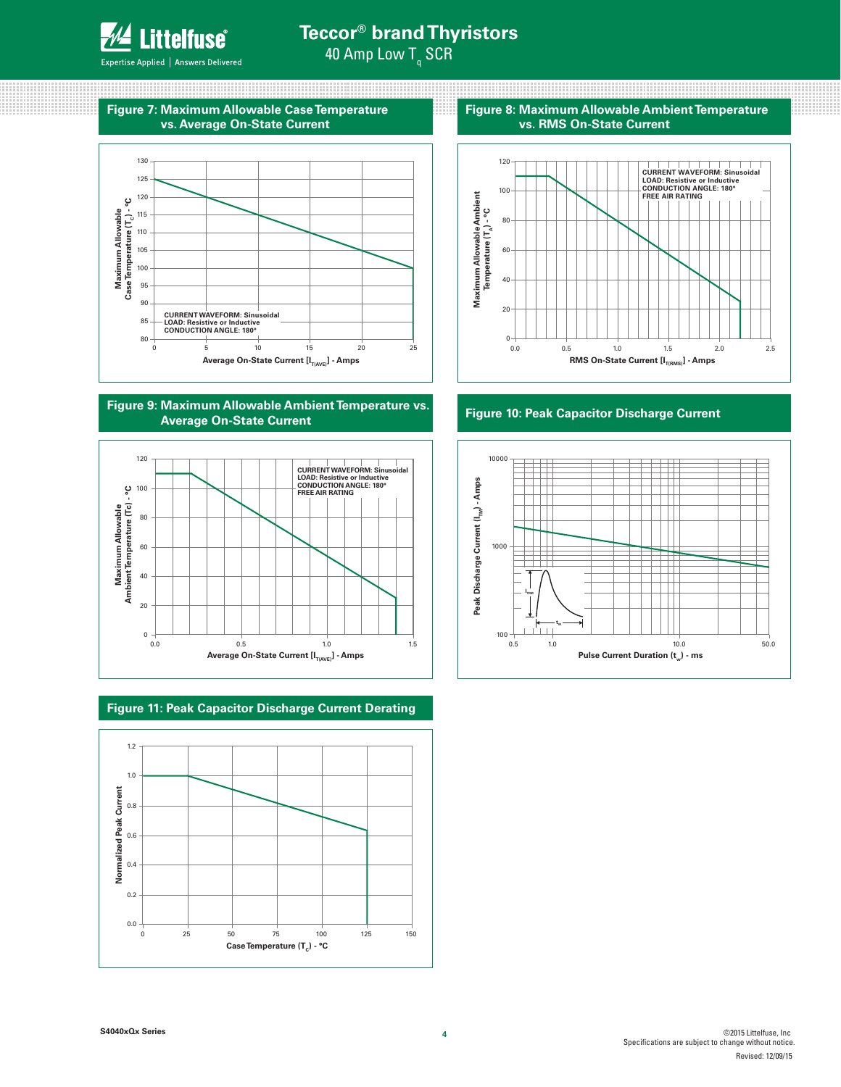

88888888888888888

# **Teccor® brand Thyristors** 40 Amp Low T<sub>q</sub> SCR

an a

Expertise Applied | Answers Delivered

### <u> 1999 - 1999 - 1999 - 1999 - 1999 - 1999 - 1999 - 1999 - 1999 - 1999 - 1999 - 1999 - 1999 - 1999 - 1999 - 199</u> **Figure 7: Maximum Allowable Case Temperature vs. Average On-State Current**



### **Figure 9: Maximum Allowable Ambient Temperature vs. Average On-State Current**



# **Figure 11: Peak Capacitor Discharge Current Derating**



mm

mm

88888888

**Figure 8: Maximum Allowable Ambient Temperature vs. RMS On-State Current**



### **Figure 10: Peak Capacitor Discharge Current**



**4**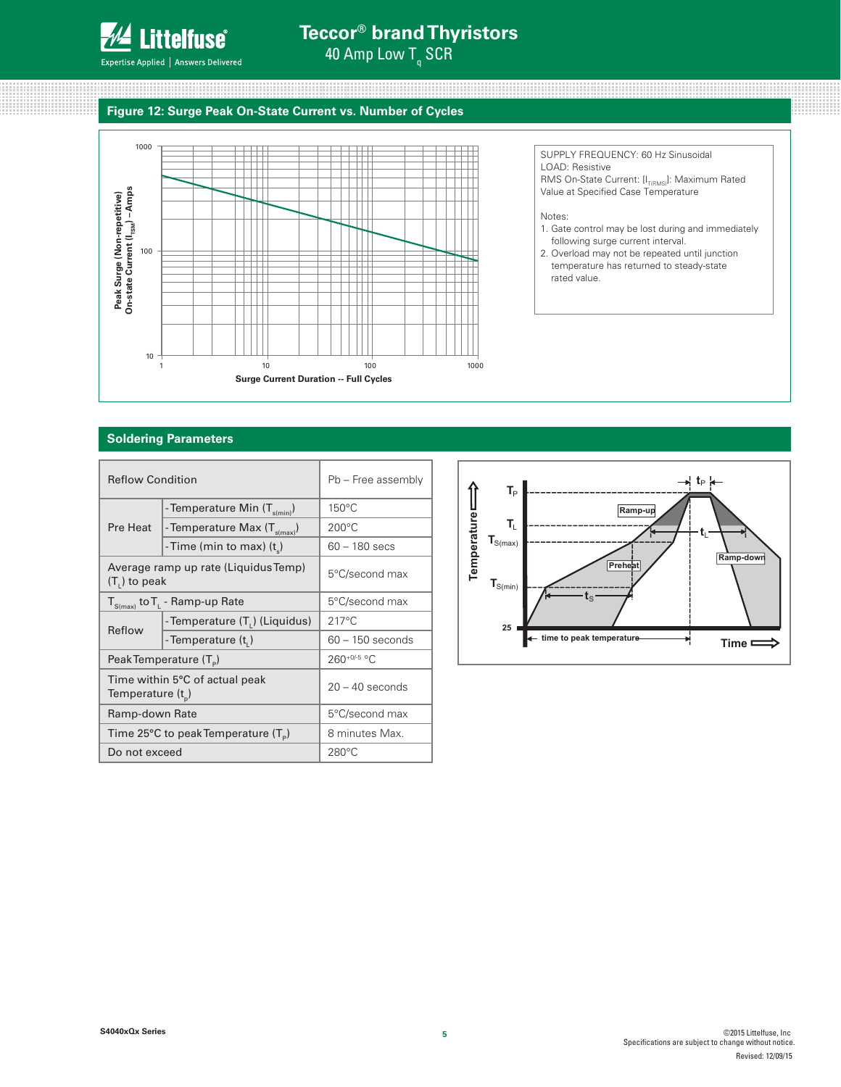

# **Teccor® brand Thyristors**

40 Amp Low T<sub>q</sub> SCR

# **Figure 12: Surge Peak On-State Current vs. Number of Cycles**



SUPPLY FREQUENCY: 60 Hz Sinusoidal LOAD: Resistive RMS On-State Current: [I<sub>T(RMS)</sub>]: Maximum Rated Value at Specified Case Temperature

Notes:

1. Gate control may be lost during and immediately following surge current interval.

::::::::::::::::::::::::

<u>mana</u> www 

2. Overload may not be repeated until junction temperature has returned to steady-state rated value.

#### **Soldering Parameters**

| <b>Reflow Condition</b>                                   |                                            | Pb - Free assembly |  |
|-----------------------------------------------------------|--------------------------------------------|--------------------|--|
|                                                           | - Temperature Min (T <sub>s(min)</sub> )   | $150^{\circ}$ C    |  |
| Pre Heat                                                  | -Temperature Max $(T_{\text{s(max)}})$     | $200^{\circ}$ C    |  |
|                                                           | -Time (min to max) $(t_s)$                 | $60 - 180$ secs    |  |
| Average ramp up rate (Liquidus Temp)<br>$(T1)$ to peak    |                                            | 5°C/second max     |  |
| $T_{S(max)}$ to $T_{L}$ - Ramp-up Rate                    |                                            | 5°C/second max     |  |
| Reflow                                                    | - Temperature (T <sub>1</sub> ) (Liquidus) | $217^{\circ}$ C    |  |
|                                                           | - Temperature $(t1)$                       | $60 - 150$ seconds |  |
|                                                           | Peak Temperature (T <sub>e</sub> )         | $260^{+0/5}$ °C    |  |
| Time within 5°C of actual peak<br>Temperature $(t_{p})$   |                                            | $20 - 40$ seconds  |  |
| Ramp-down Rate                                            |                                            | 5°C/second max     |  |
| Time 25 $\degree$ C to peak Temperature (T <sub>o</sub> ) |                                            | 8 minutes Max.     |  |
| Do not exceed                                             |                                            | $280^{\circ}$ C    |  |

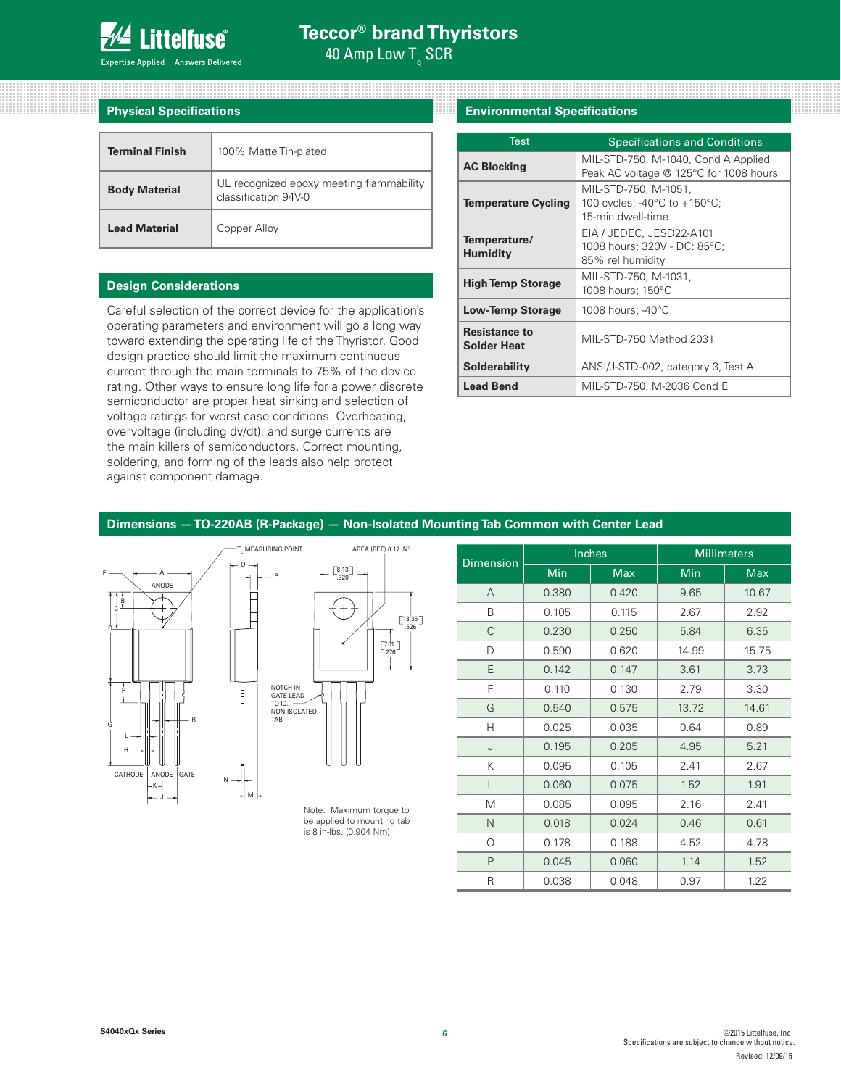

8888888888888888888

| $\mathsf{Expected} \mid \mathsf{Answers}$ Delivere |  |
|----------------------------------------------------|--|
|----------------------------------------------------|--|

| <b>Physical Specifications</b> |                                                                  |  |  |  |  |  |
|--------------------------------|------------------------------------------------------------------|--|--|--|--|--|
| <b>Terminal Finish</b>         | 100% Matte Tin-plated                                            |  |  |  |  |  |
| <b>Body Material</b>           | UL recognized epoxy meeting flammability<br>classification 94V-0 |  |  |  |  |  |
| <b>Lead Material</b>           | Copper Alloy                                                     |  |  |  |  |  |

### **Design Considerations**

Careful selection of the correct device for the application's operating parameters and environment will go a long way toward extending the operating life of the Thyristor. Good design practice should limit the maximum continuous current through the main terminals to 75% of the device rating. Other ways to ensure long life for a power discrete semiconductor are proper heat sinking and selection of voltage ratings for worst case conditions. Overheating, overvoltage (including dv/dt), and surge currents are the main killers of semiconductors. Correct mounting, soldering, and forming of the leads also help protect against component damage.

# **Physical Specifications Environmental Specifications**

| <b>Test</b>                                | <b>Specifications and Conditions</b>                                          |
|--------------------------------------------|-------------------------------------------------------------------------------|
| <b>AC Blocking</b>                         | MIL-STD-750, M-1040, Cond A Applied<br>Peak AC voltage @ 125°C for 1008 hours |
| <b>Temperature Cycling</b>                 | MIL-STD-750, M-1051,<br>100 cycles; -40°C to +150°C;<br>15-min dwell-time     |
| Temperature/<br>Humidity                   | EIA / JEDEC, JESD22-A101<br>1008 hours; 320V - DC: 85°C;<br>85% rel humidity  |
| <b>High Temp Storage</b>                   | MIL-STD-750, M-1031,<br>1008 hours; 150°C                                     |
| <b>Low-Temp Storage</b>                    | 1008 hours; -40°C                                                             |
| <b>Resistance to</b><br><b>Solder Heat</b> | MIL-STD-750 Method 2031                                                       |
| <b>Solderability</b>                       | ANSI/J-STD-002, category 3, Test A                                            |
| <b>Lead Bend</b>                           | MIL-STD-750, M-2036 Cond E                                                    |

**WANDA** 

88888888

#### **Dimensions — TO-220AB (R-Package) — Non-Isolated Mounting Tab Common with Center Lead**





Note: Maximum torque to be applied to mounting tab is 8 in-lbs. (0.904 Nm).

| <b>Dimension</b> | Inches     |            | <b>Millimeters</b> |            |
|------------------|------------|------------|--------------------|------------|
|                  | <b>Min</b> | <b>Max</b> | Min                | <b>Max</b> |
| A                | 0.380      | 0.420      | 9.65               | 10.67      |
| Β                | 0.105      | 0.115      | 2.67               | 2.92       |
| C                | 0.230      | 0.250      | 5.84               | 6.35       |
| D                | 0.590      | 0.620      | 14.99              | 15.75      |
| Ε                | 0.142      | 0.147      | 3.61               | 3.73       |
| F                | 0.110      | 0.130      | 2.79               | 3.30       |
| G                | 0.540      | 0.575      | 13.72              | 14.61      |
| Н                | 0.025      | 0.035      | 0.64               | 0.89       |
| J                | 0.195      | 0.205      | 4.95               | 5.21       |
| Κ                | 0.095      | 0.105      | 2.41               | 2.67       |
| L                | 0.060      | 0.075      | 1.52               | 1.91       |
| M                | 0.085      | 0.095      | 2.16               | 2.41       |
| $\mathsf{N}$     | 0.018      | 0.024      | 0.46               | 0.61       |
| O                | 0.178      | 0.188      | 4.52               | 4.78       |
| P                | 0.045      | 0.060      | 1.14               | 1.52       |
| R                | 0.038      | 0.048      | 0.97               | 1.22       |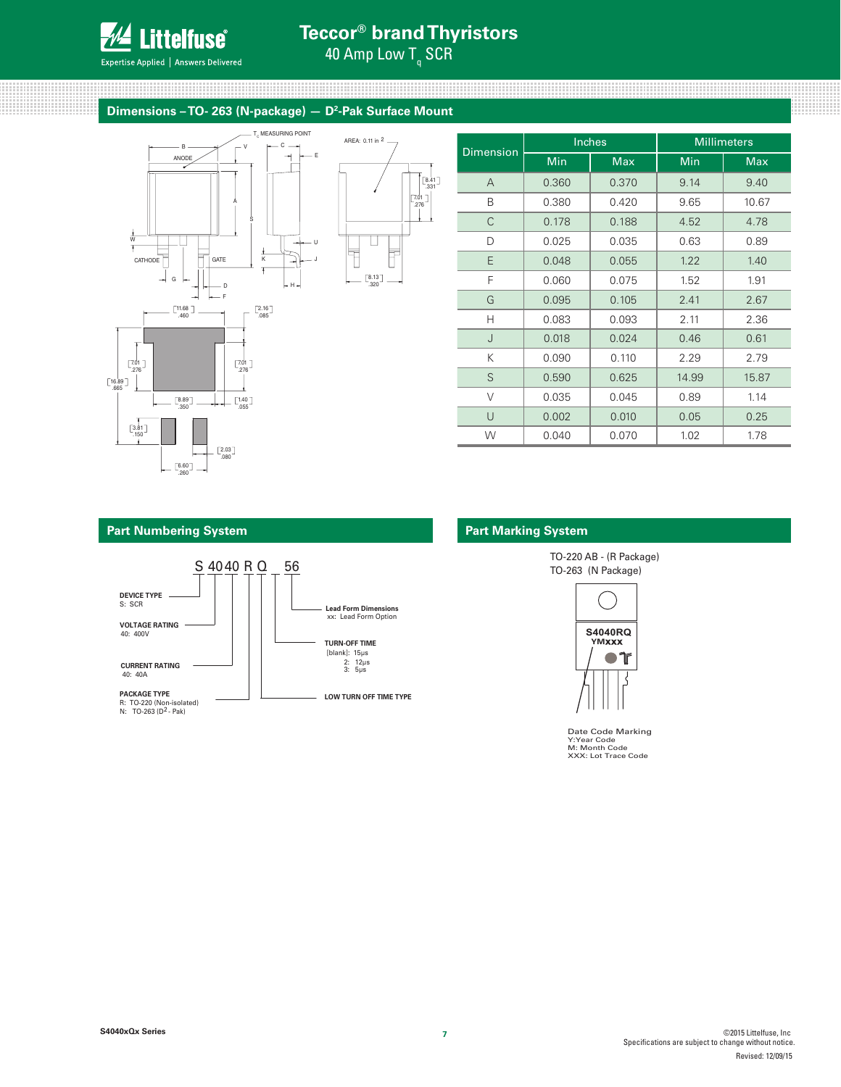

# **Teccor® brand Thyristors**

.276 7.01 .331 8.41

Expertise Applied | Answers Delivered

# 40 Amp Low T<sub>q</sub> SCR

AREA: 0.11 in 2

.320 8.13

 $\Box$ 

Ī

Ħ

# Dimensions – TO- 263 (N-package) **– D<sup>2</sup>-Pak Surface Mount**



| <b>Dimension</b> |       | Inches     | <b>Millimeters</b> |            |
|------------------|-------|------------|--------------------|------------|
|                  | Min   | <b>Max</b> | Min                | <b>Max</b> |
| $\overline{A}$   | 0.360 | 0.370      | 9.14               | 9.40       |
| B                | 0.380 | 0.420      | 9.65               | 10.67      |
| C                | 0.178 | 0.188      | 4.52               | 4.78       |
| D                | 0.025 | 0.035      | 0.63               | 0.89       |
| E                | 0.048 | 0.055      | 1.22               | 1.40       |
| F                | 0.060 | 0.075      | 1.52               | 1.91       |
| G                | 0.095 | 0.105      | 2.41               | 2.67       |
| Н                | 0.083 | 0.093      | 2.11               | 2.36       |
| J                | 0.018 | 0.024      | 0.46               | 0.61       |
| Κ                | 0.090 | 0.110      | 2.29               | 2.79       |
| S                | 0.590 | 0.625      | 14.99              | 15.87      |
| $\vee$           | 0.035 | 0.045      | 0.89               | 1.14       |
| $\cup$           | 0.002 | 0.010      | 0.05               | 0.25       |
| W                | 0.040 | 0.070      | 1.02               | 1.78       |

#### **Part Numbering System Part Marking System**



 TO-220 AB - (R Package) TO-263 (N Package)



Date Code Marking Y:Year Code M: Month Code XXX: Lot Trace Code